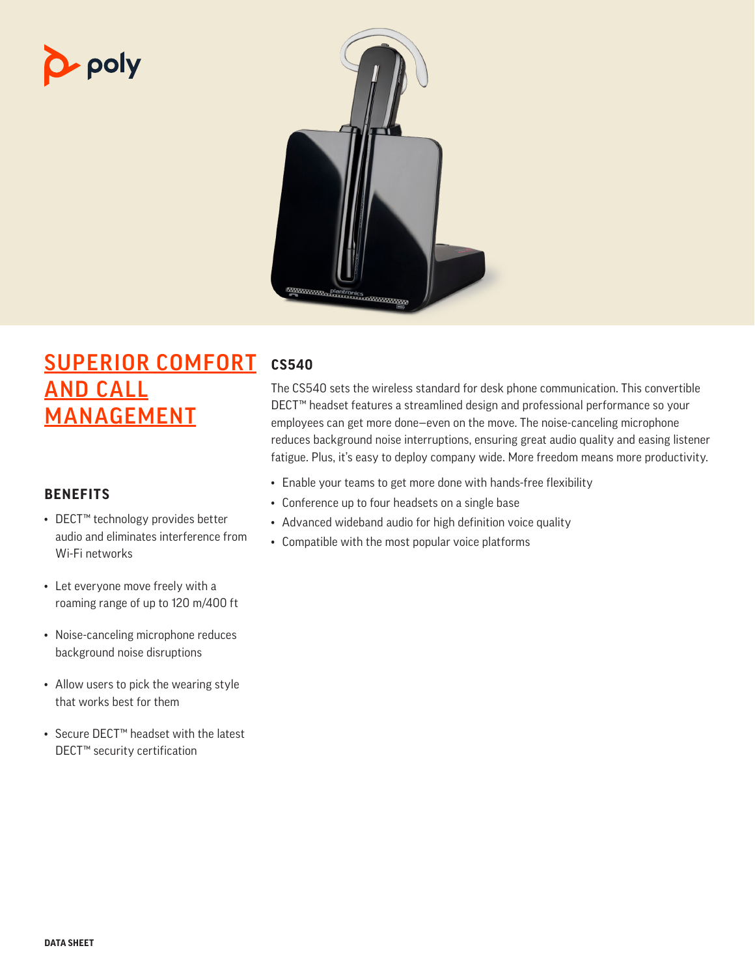# p- poly



# SUPERIOR COMFORT AND CALL MANAGEMENT

## **BENEFITS**

- DECT™ technology provides better audio and eliminates interference from Wi-Fi networks
- Let everyone move freely with a roaming range of up to 120 m/400 ft
- Noise-canceling microphone reduces background noise disruptions
- Allow users to pick the wearing style that works best for them
- Secure DECT™ headset with the latest DECT™ security certification

# **CS540**

The CS540 sets the wireless standard for desk phone communication. This convertible DECT™ headset features a streamlined design and professional performance so your employees can get more done—even on the move. The noise-canceling microphone reduces background noise interruptions, ensuring great audio quality and easing listener fatigue. Plus, it's easy to deploy company wide. More freedom means more productivity.

- Enable your teams to get more done with hands-free flexibility
- Conference up to four headsets on a single base
- Advanced wideband audio for high definition voice quality
- Compatible with the most popular voice platforms